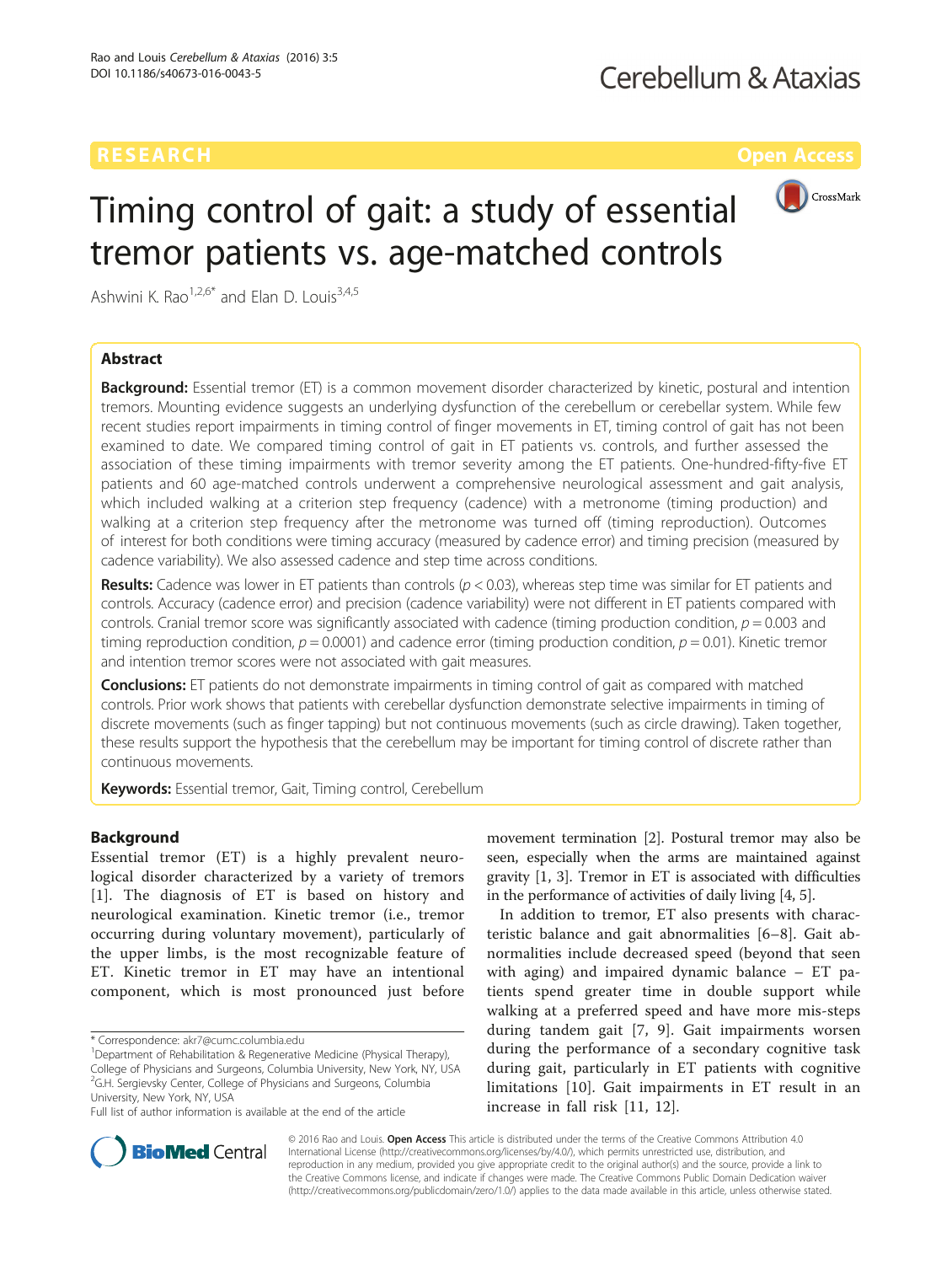

# Timing control of gait: a study of essential tremor patients vs. age-matched controls

Ashwini K. Rao<sup>1,2,6\*</sup> and Elan D. Louis<sup>3,4,5</sup>

# Abstract

**Background:** Essential tremor (ET) is a common movement disorder characterized by kinetic, postural and intention tremors. Mounting evidence suggests an underlying dysfunction of the cerebellum or cerebellar system. While few recent studies report impairments in timing control of finger movements in ET, timing control of gait has not been examined to date. We compared timing control of gait in ET patients vs. controls, and further assessed the association of these timing impairments with tremor severity among the ET patients. One-hundred-fifty-five ET patients and 60 age-matched controls underwent a comprehensive neurological assessment and gait analysis, which included walking at a criterion step frequency (cadence) with a metronome (timing production) and walking at a criterion step frequency after the metronome was turned off (timing reproduction). Outcomes of interest for both conditions were timing accuracy (measured by cadence error) and timing precision (measured by cadence variability). We also assessed cadence and step time across conditions.

Results: Cadence was lower in ET patients than controls ( $p < 0.03$ ), whereas step time was similar for ET patients and controls. Accuracy (cadence error) and precision (cadence variability) were not different in ET patients compared with controls. Cranial tremor score was significantly associated with cadence (timing production condition,  $p = 0.003$  and timing reproduction condition,  $p = 0.0001$ ) and cadence error (timing production condition,  $p = 0.01$ ). Kinetic tremor and intention tremor scores were not associated with gait measures.

**Conclusions:** ET patients do not demonstrate impairments in timing control of gait as compared with matched controls. Prior work shows that patients with cerebellar dysfunction demonstrate selective impairments in timing of discrete movements (such as finger tapping) but not continuous movements (such as circle drawing). Taken together, these results support the hypothesis that the cerebellum may be important for timing control of discrete rather than continuous movements.

Keywords: Essential tremor, Gait, Timing control, Cerebellum

# Background

Essential tremor (ET) is a highly prevalent neurological disorder characterized by a variety of tremors [[1\]](#page-6-0). The diagnosis of ET is based on history and neurological examination. Kinetic tremor (i.e., tremor occurring during voluntary movement), particularly of the upper limbs, is the most recognizable feature of ET. Kinetic tremor in ET may have an intentional component, which is most pronounced just before

Full list of author information is available at the end of the article

movement termination [[2\]](#page-6-0). Postural tremor may also be seen, especially when the arms are maintained against gravity [\[1, 3](#page-6-0)]. Tremor in ET is associated with difficulties in the performance of activities of daily living [[4, 5](#page-6-0)].

In addition to tremor, ET also presents with characteristic balance and gait abnormalities [[6](#page-6-0)–[8](#page-6-0)]. Gait abnormalities include decreased speed (beyond that seen with aging) and impaired dynamic balance – ET patients spend greater time in double support while walking at a preferred speed and have more mis-steps during tandem gait [[7, 9](#page-6-0)]. Gait impairments worsen during the performance of a secondary cognitive task during gait, particularly in ET patients with cognitive limitations [\[10](#page-6-0)]. Gait impairments in ET result in an increase in fall risk [[11, 12\]](#page-6-0).



© 2016 Rao and Louis. Open Access This article is distributed under the terms of the Creative Commons Attribution 4.0 International License [\(http://creativecommons.org/licenses/by/4.0/](http://creativecommons.org/licenses/by/4.0/)), which permits unrestricted use, distribution, and reproduction in any medium, provided you give appropriate credit to the original author(s) and the source, provide a link to the Creative Commons license, and indicate if changes were made. The Creative Commons Public Domain Dedication waiver [\(http://creativecommons.org/publicdomain/zero/1.0/](http://creativecommons.org/publicdomain/zero/1.0/)) applies to the data made available in this article, unless otherwise stated.

<sup>\*</sup> Correspondence: [akr7@cumc.columbia.edu](mailto:akr7@cumc.columbia.edu) <sup>1</sup>

<sup>&</sup>lt;sup>1</sup>Department of Rehabilitation & Regenerative Medicine (Physical Therapy), College of Physicians and Surgeons, Columbia University, New York, NY, USA <sup>2</sup>G.H. Sergievsky Center, College of Physicians and Surgeons, Columbia University, New York, NY, USA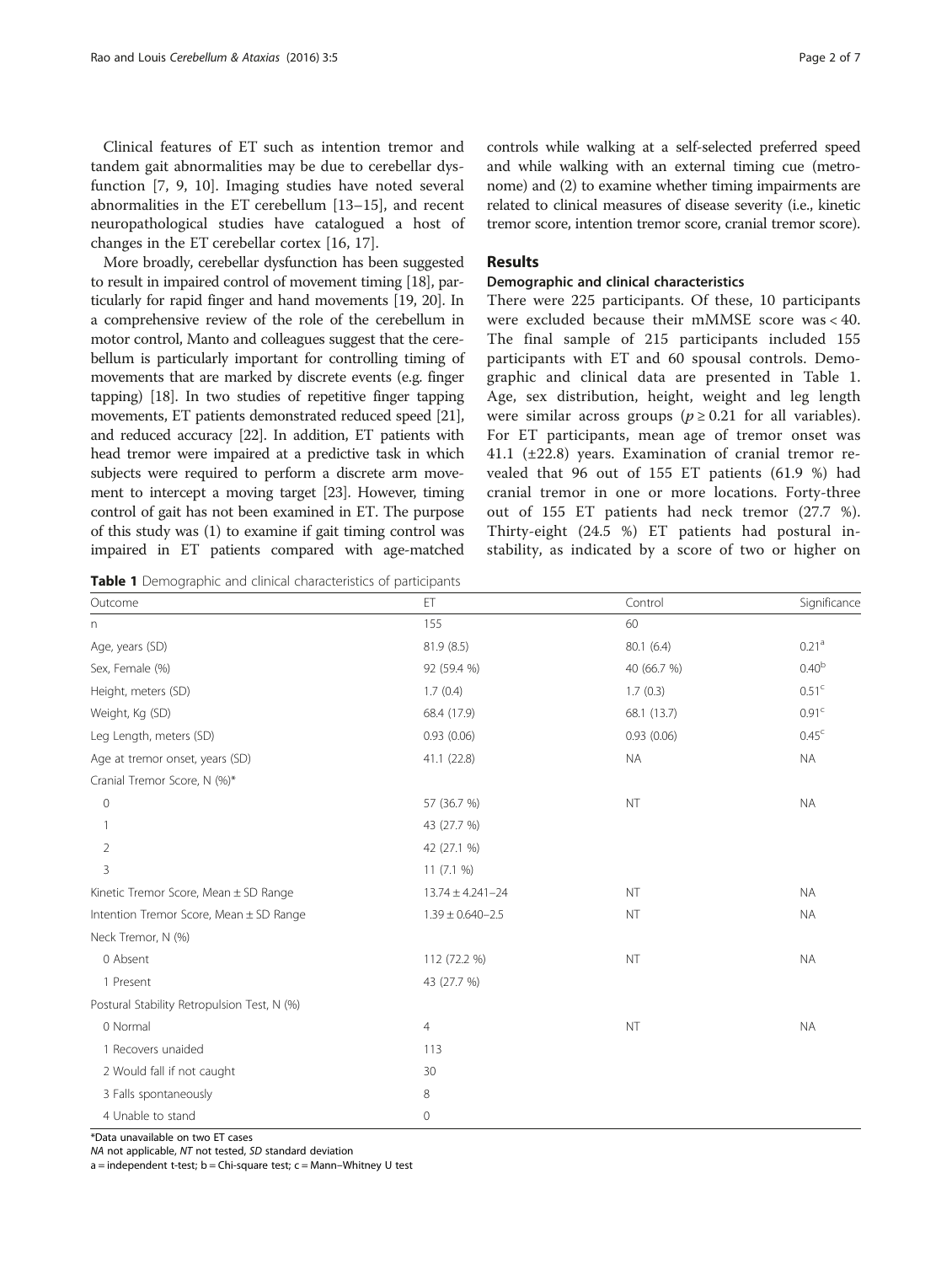Clinical features of ET such as intention tremor and tandem gait abnormalities may be due to cerebellar dysfunction [[7, 9](#page-6-0), [10\]](#page-6-0). Imaging studies have noted several abnormalities in the ET cerebellum [\[13](#page-6-0)–[15\]](#page-6-0), and recent neuropathological studies have catalogued a host of changes in the ET cerebellar cortex [\[16, 17\]](#page-6-0).

More broadly, cerebellar dysfunction has been suggested to result in impaired control of movement timing [\[18\]](#page-6-0), particularly for rapid finger and hand movements [\[19, 20\]](#page-6-0). In a comprehensive review of the role of the cerebellum in motor control, Manto and colleagues suggest that the cerebellum is particularly important for controlling timing of movements that are marked by discrete events (e.g. finger tapping) [\[18](#page-6-0)]. In two studies of repetitive finger tapping movements, ET patients demonstrated reduced speed [\[21](#page-6-0)], and reduced accuracy [\[22\]](#page-6-0). In addition, ET patients with head tremor were impaired at a predictive task in which subjects were required to perform a discrete arm movement to intercept a moving target [\[23](#page-6-0)]. However, timing control of gait has not been examined in ET. The purpose of this study was (1) to examine if gait timing control was impaired in ET patients compared with age-matched

Table 1 Demographic and clinical characteristics of participants

controls while walking at a self-selected preferred speed and while walking with an external timing cue (metronome) and (2) to examine whether timing impairments are related to clinical measures of disease severity (i.e., kinetic tremor score, intention tremor score, cranial tremor score).

#### Results

#### Demographic and clinical characteristics

There were 225 participants. Of these, 10 participants were excluded because their mMMSE score was < 40. The final sample of 215 participants included 155 participants with ET and 60 spousal controls. Demographic and clinical data are presented in Table 1. Age, sex distribution, height, weight and leg length were similar across groups ( $p \ge 0.21$  for all variables). For ET participants, mean age of tremor onset was 41.1 (±22.8) years. Examination of cranial tremor revealed that 96 out of 155 ET patients (61.9 %) had cranial tremor in one or more locations. Forty-three out of 155 ET patients had neck tremor (27.7 %). Thirty-eight (24.5 %) ET patients had postural instability, as indicated by a score of two or higher on

| Outcome                                     | ET                     | Control     | Significance      |
|---------------------------------------------|------------------------|-------------|-------------------|
| n                                           | 155                    | 60          |                   |
| Age, years (SD)                             | 81.9 (8.5)             | 80.1 (6.4)  | 0.21 <sup>a</sup> |
| Sex, Female (%)                             | 92 (59.4 %)            | 40 (66.7 %) | 0.40 <sup>b</sup> |
| Height, meters (SD)                         | 1.7(0.4)               | 1.7(0.3)    | 0.51 <sup>c</sup> |
| Weight, Kg (SD)                             | 68.4 (17.9)            | 68.1 (13.7) | 0.91 <sup>c</sup> |
| Leg Length, meters (SD)                     | 0.93(0.06)             | 0.93(0.06)  | 0.45 <sup>c</sup> |
| Age at tremor onset, years (SD)             | 41.1 (22.8)            | <b>NA</b>   | <b>NA</b>         |
| Cranial Tremor Score, N (%)*                |                        |             |                   |
| $\mathbf 0$                                 | 57 (36.7 %)            | NT          | <b>NA</b>         |
| 1                                           | 43 (27.7 %)            |             |                   |
| $\overline{2}$                              | 42 (27.1 %)            |             |                   |
| 3                                           | 11(7.1%                |             |                   |
| Kinetic Tremor Score, Mean ± SD Range       | $13.74 \pm 4.241 - 24$ | <b>NT</b>   | <b>NA</b>         |
| Intention Tremor Score, Mean ± SD Range     | $1.39 \pm 0.640 - 2.5$ | NT          | <b>NA</b>         |
| Neck Tremor, N (%)                          |                        |             |                   |
| 0 Absent                                    | 112 (72.2 %)           | NT          | <b>NA</b>         |
| 1 Present                                   | 43 (27.7 %)            |             |                   |
| Postural Stability Retropulsion Test, N (%) |                        |             |                   |
| 0 Normal                                    | $\overline{4}$         | NT          | <b>NA</b>         |
| 1 Recovers unaided                          | 113                    |             |                   |
| 2 Would fall if not caught                  | 30                     |             |                   |
| 3 Falls spontaneously                       | 8                      |             |                   |
| 4 Unable to stand                           | $\mathsf{O}\xspace$    |             |                   |

\*Data unavailable on two ET cases

NA not applicable, NT not tested, SD standard deviation

a = independent t-test; b = Chi-square test; c = Mann–Whitney U test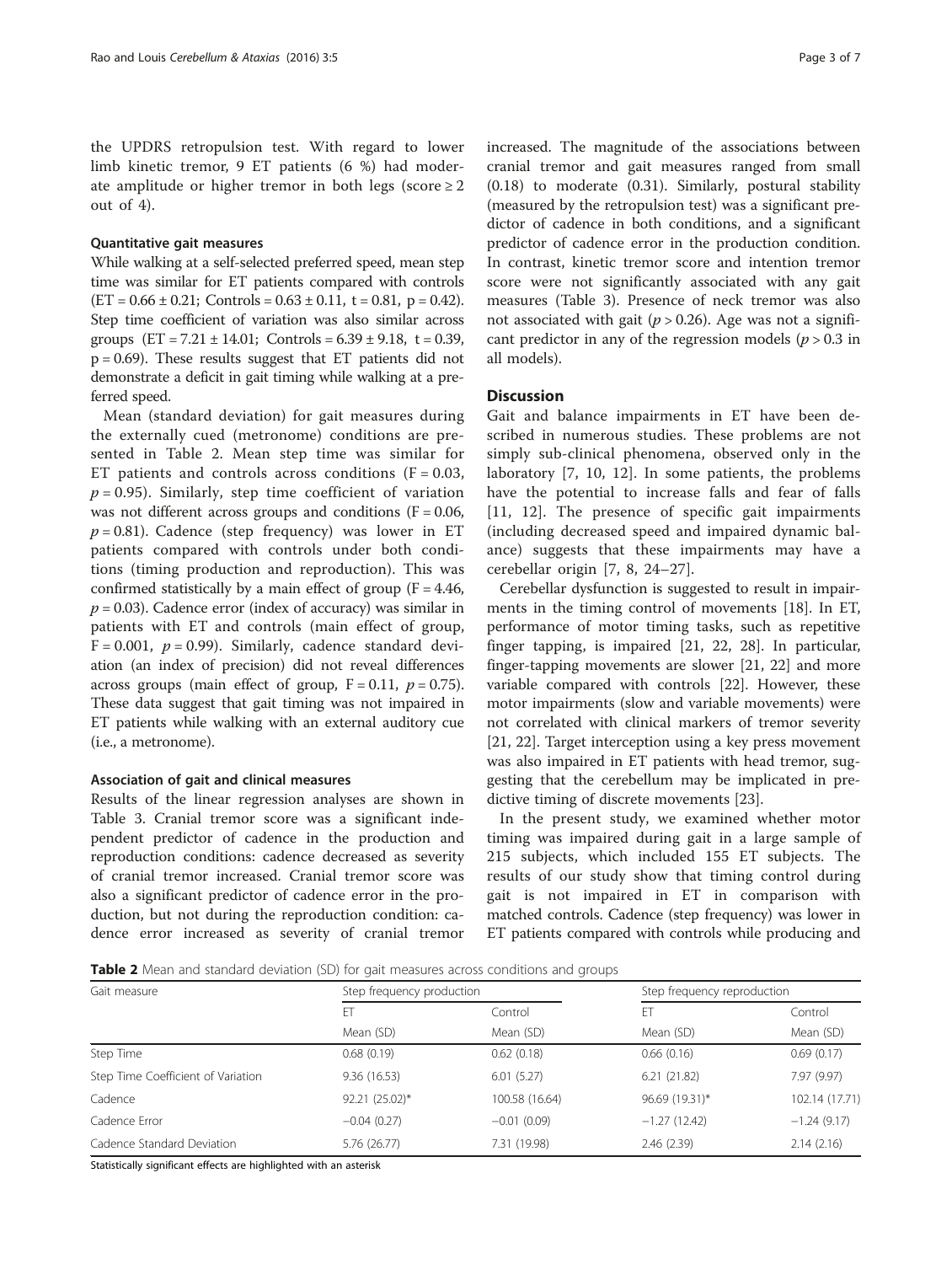the UPDRS retropulsion test. With regard to lower limb kinetic tremor, 9 ET patients (6 %) had moderate amplitude or higher tremor in both legs (score  $\geq 2$ ) out of 4).

#### Quantitative gait measures

While walking at a self-selected preferred speed, mean step time was similar for ET patients compared with controls  $(ET = 0.66 \pm 0.21;$  Controls =  $0.63 \pm 0.11$ , t = 0.81, p = 0.42). Step time coefficient of variation was also similar across groups  $(ET = 7.21 \pm 14.01;$  Controls =  $6.39 \pm 9.18$ , t = 0.39,  $p = 0.69$ ). These results suggest that ET patients did not demonstrate a deficit in gait timing while walking at a preferred speed.

Mean (standard deviation) for gait measures during the externally cued (metronome) conditions are presented in Table 2. Mean step time was similar for ET patients and controls across conditions  $(F = 0.03,$  $p = 0.95$ ). Similarly, step time coefficient of variation was not different across groups and conditions ( $F = 0.06$ ,  $p = 0.81$ ). Cadence (step frequency) was lower in ET patients compared with controls under both conditions (timing production and reproduction). This was confirmed statistically by a main effect of group  $(F = 4.46,$  $p = 0.03$ ). Cadence error (index of accuracy) was similar in patients with ET and controls (main effect of group,  $F = 0.001$ ,  $p = 0.99$ ). Similarly, cadence standard deviation (an index of precision) did not reveal differences across groups (main effect of group,  $F = 0.11$ ,  $p = 0.75$ ). These data suggest that gait timing was not impaired in ET patients while walking with an external auditory cue (i.e., a metronome).

### Association of gait and clinical measures

Results of the linear regression analyses are shown in Table [3](#page-3-0). Cranial tremor score was a significant independent predictor of cadence in the production and reproduction conditions: cadence decreased as severity of cranial tremor increased. Cranial tremor score was also a significant predictor of cadence error in the production, but not during the reproduction condition: cadence error increased as severity of cranial tremor

increased. The magnitude of the associations between cranial tremor and gait measures ranged from small (0.18) to moderate (0.31). Similarly, postural stability (measured by the retropulsion test) was a significant predictor of cadence in both conditions, and a significant predictor of cadence error in the production condition. In contrast, kinetic tremor score and intention tremor score were not significantly associated with any gait measures (Table [3\)](#page-3-0). Presence of neck tremor was also not associated with gait ( $p > 0.26$ ). Age was not a significant predictor in any of the regression models ( $p > 0.3$  in all models).

# Discussion

Gait and balance impairments in ET have been described in numerous studies. These problems are not simply sub-clinical phenomena, observed only in the laboratory [[7, 10, 12](#page-6-0)]. In some patients, the problems have the potential to increase falls and fear of falls [[11](#page-6-0), [12](#page-6-0)]. The presence of specific gait impairments (including decreased speed and impaired dynamic balance) suggests that these impairments may have a cerebellar origin [[7, 8, 24](#page-6-0)–[27](#page-6-0)].

Cerebellar dysfunction is suggested to result in impairments in the timing control of movements [\[18](#page-6-0)]. In ET, performance of motor timing tasks, such as repetitive finger tapping, is impaired [[21](#page-6-0), [22, 28](#page-6-0)]. In particular, finger-tapping movements are slower [\[21](#page-6-0), [22\]](#page-6-0) and more variable compared with controls [\[22](#page-6-0)]. However, these motor impairments (slow and variable movements) were not correlated with clinical markers of tremor severity [[21, 22\]](#page-6-0). Target interception using a key press movement was also impaired in ET patients with head tremor, suggesting that the cerebellum may be implicated in predictive timing of discrete movements [[23\]](#page-6-0).

In the present study, we examined whether motor timing was impaired during gait in a large sample of 215 subjects, which included 155 ET subjects. The results of our study show that timing control during gait is not impaired in ET in comparison with matched controls. Cadence (step frequency) was lower in ET patients compared with controls while producing and

**Table 2** Mean and standard deviation (SD) for gait measures across conditions and groups

| Gait measure                       | Step frequency production |                |                | Step frequency reproduction |  |
|------------------------------------|---------------------------|----------------|----------------|-----------------------------|--|
|                                    | ΕI                        | Control        | ЕT             | Control                     |  |
|                                    | Mean (SD)                 | Mean (SD)      | Mean (SD)      | Mean (SD)                   |  |
| Step Time                          | 0.68(0.19)                | 0.62(0.18)     | 0.66(0.16)     | 0.69(0.17)                  |  |
| Step Time Coefficient of Variation | 9.36(16.53)               | 6.01(5.27)     | 6.21(21.82)    | 7.97 (9.97)                 |  |
| Cadence                            | 92.21 (25.02)*            | 100.58 (16.64) | 96.69 (19.31)* | 102.14 (17.71)              |  |
| Cadence Frror                      | $-0.04(0.27)$             | $-0.01(0.09)$  | $-1.27(12.42)$ | $-1.24(9.17)$               |  |
| Cadence Standard Deviation         | 5.76 (26.77)              | 7.31 (19.98)   | 2.46(2.39)     | 2.14(2.16)                  |  |

Statistically significant effects are highlighted with an asterisk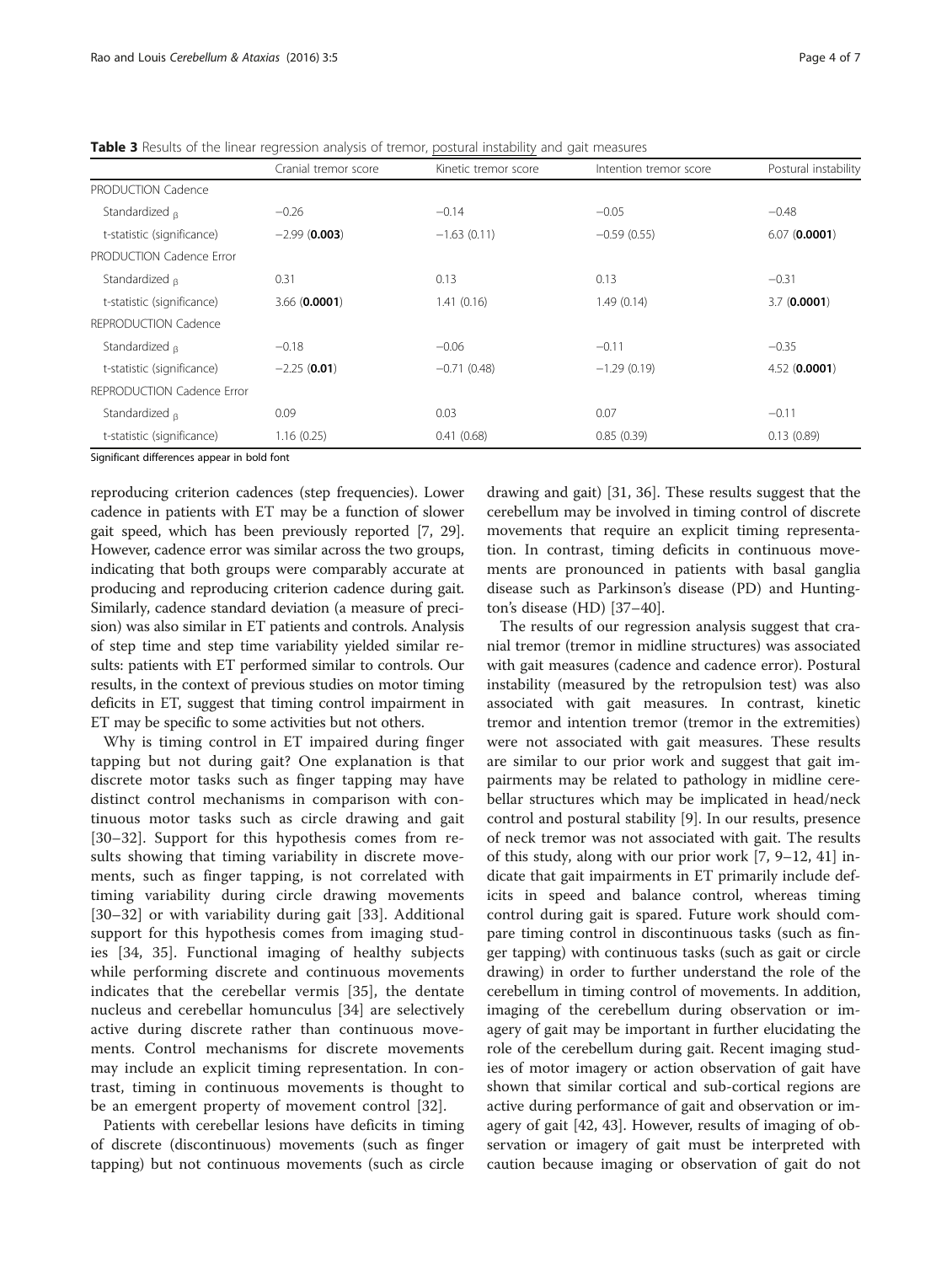<span id="page-3-0"></span>

| <b>Table 3</b> Results of the linear regression analysis of tremor, postural instability and gait measures |  |  |
|------------------------------------------------------------------------------------------------------------|--|--|
|                                                                                                            |  |  |

|                                 | Cranial tremor score | Kinetic tremor score | Intention tremor score | Postural instability |
|---------------------------------|----------------------|----------------------|------------------------|----------------------|
| PRODUCTION Cadence              |                      |                      |                        |                      |
| Standardized $_B$               | $-0.26$              | $-0.14$              | $-0.05$                | $-0.48$              |
| t-statistic (significance)      | $-2.99(0.003)$       | $-1.63(0.11)$        | $-0.59(0.55)$          | 6.07(0.0001)         |
| <b>PRODUCTION Cadence Error</b> |                      |                      |                        |                      |
| Standardized $_B$               | 0.31                 | 0.13                 | 0.13                   | $-0.31$              |
| t-statistic (significance)      | $3.66$ (0.0001)      | 1.41(0.16)           | 1.49(0.14)             | 3.7(0.0001)          |
| REPRODUCTION Cadence            |                      |                      |                        |                      |
| Standardized $_B$               | $-0.18$              | $-0.06$              | $-0.11$                | $-0.35$              |
| t-statistic (significance)      | $-2.25(0.01)$        | $-0.71(0.48)$        | $-1.29(0.19)$          | 4.52 (0.0001)        |
| REPRODUCTION Cadence Error      |                      |                      |                        |                      |
| Standardized $_B$               | 0.09                 | 0.03                 | 0.07                   | $-0.11$              |
| t-statistic (significance)      | 1.16(0.25)           | 0.41(0.68)           | 0.85(0.39)             | 0.13(0.89)           |

Significant differences appear in bold font

reproducing criterion cadences (step frequencies). Lower cadence in patients with ET may be a function of slower gait speed, which has been previously reported [\[7, 29](#page-6-0)]. However, cadence error was similar across the two groups, indicating that both groups were comparably accurate at producing and reproducing criterion cadence during gait. Similarly, cadence standard deviation (a measure of precision) was also similar in ET patients and controls. Analysis of step time and step time variability yielded similar results: patients with ET performed similar to controls. Our results, in the context of previous studies on motor timing deficits in ET, suggest that timing control impairment in ET may be specific to some activities but not others.

Why is timing control in ET impaired during finger tapping but not during gait? One explanation is that discrete motor tasks such as finger tapping may have distinct control mechanisms in comparison with continuous motor tasks such as circle drawing and gait [[30](#page-6-0)–[32\]](#page-6-0). Support for this hypothesis comes from results showing that timing variability in discrete movements, such as finger tapping, is not correlated with timing variability during circle drawing movements [[30](#page-6-0)–[32\]](#page-6-0) or with variability during gait [[33](#page-6-0)]. Additional support for this hypothesis comes from imaging studies [[34](#page-6-0), [35](#page-6-0)]. Functional imaging of healthy subjects while performing discrete and continuous movements indicates that the cerebellar vermis [[35\]](#page-6-0), the dentate nucleus and cerebellar homunculus [[34\]](#page-6-0) are selectively active during discrete rather than continuous movements. Control mechanisms for discrete movements may include an explicit timing representation. In contrast, timing in continuous movements is thought to be an emergent property of movement control [[32](#page-6-0)].

Patients with cerebellar lesions have deficits in timing of discrete (discontinuous) movements (such as finger tapping) but not continuous movements (such as circle

drawing and gait) [[31, 36\]](#page-6-0). These results suggest that the cerebellum may be involved in timing control of discrete movements that require an explicit timing representation. In contrast, timing deficits in continuous movements are pronounced in patients with basal ganglia disease such as Parkinson's disease (PD) and Huntington's disease (HD) [\[37](#page-6-0)–[40\]](#page-6-0).

The results of our regression analysis suggest that cranial tremor (tremor in midline structures) was associated with gait measures (cadence and cadence error). Postural instability (measured by the retropulsion test) was also associated with gait measures. In contrast, kinetic tremor and intention tremor (tremor in the extremities) were not associated with gait measures. These results are similar to our prior work and suggest that gait impairments may be related to pathology in midline cerebellar structures which may be implicated in head/neck control and postural stability [\[9\]](#page-6-0). In our results, presence of neck tremor was not associated with gait. The results of this study, along with our prior work [[7, 9](#page-6-0)–[12, 41\]](#page-6-0) indicate that gait impairments in ET primarily include deficits in speed and balance control, whereas timing control during gait is spared. Future work should compare timing control in discontinuous tasks (such as finger tapping) with continuous tasks (such as gait or circle drawing) in order to further understand the role of the cerebellum in timing control of movements. In addition, imaging of the cerebellum during observation or imagery of gait may be important in further elucidating the role of the cerebellum during gait. Recent imaging studies of motor imagery or action observation of gait have shown that similar cortical and sub-cortical regions are active during performance of gait and observation or imagery of gait [[42, 43\]](#page-6-0). However, results of imaging of observation or imagery of gait must be interpreted with caution because imaging or observation of gait do not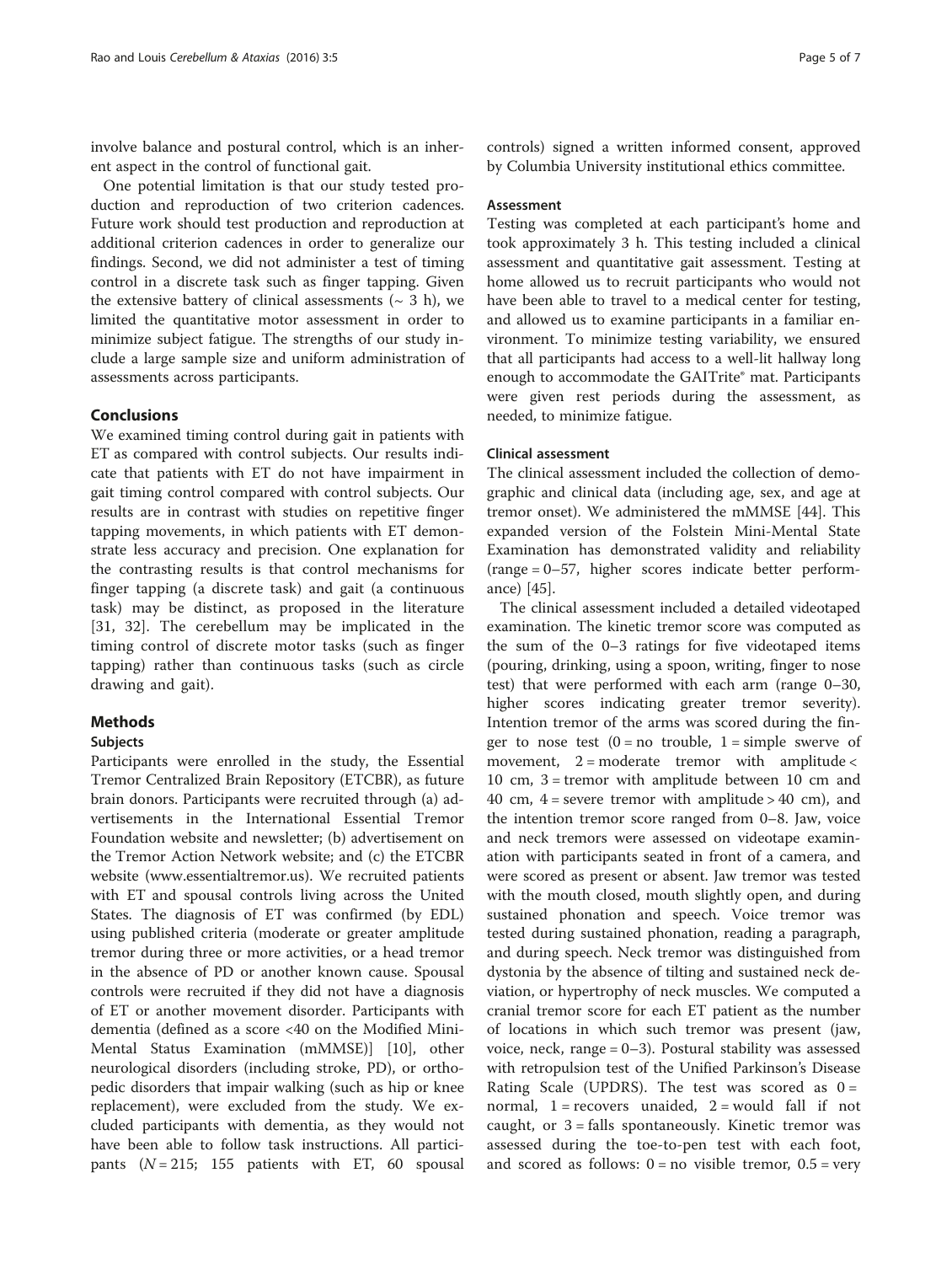involve balance and postural control, which is an inherent aspect in the control of functional gait.

One potential limitation is that our study tested production and reproduction of two criterion cadences. Future work should test production and reproduction at additional criterion cadences in order to generalize our findings. Second, we did not administer a test of timing control in a discrete task such as finger tapping. Given the extensive battery of clinical assessments ( $\sim$  3 h), we limited the quantitative motor assessment in order to minimize subject fatigue. The strengths of our study include a large sample size and uniform administration of assessments across participants.

# Conclusions

We examined timing control during gait in patients with ET as compared with control subjects. Our results indicate that patients with ET do not have impairment in gait timing control compared with control subjects. Our results are in contrast with studies on repetitive finger tapping movements, in which patients with ET demonstrate less accuracy and precision. One explanation for the contrasting results is that control mechanisms for finger tapping (a discrete task) and gait (a continuous task) may be distinct, as proposed in the literature [[31, 32](#page-6-0)]. The cerebellum may be implicated in the timing control of discrete motor tasks (such as finger tapping) rather than continuous tasks (such as circle drawing and gait).

# Methods

#### Subjects

Participants were enrolled in the study, the Essential Tremor Centralized Brain Repository (ETCBR), as future brain donors. Participants were recruited through (a) advertisements in the International Essential Tremor Foundation website and newsletter; (b) advertisement on the Tremor Action Network website; and (c) the ETCBR website ([www.essentialtremor.us\)](http://www.essentialtremor.us/). We recruited patients with ET and spousal controls living across the United States. The diagnosis of ET was confirmed (by EDL) using published criteria (moderate or greater amplitude tremor during three or more activities, or a head tremor in the absence of PD or another known cause. Spousal controls were recruited if they did not have a diagnosis of ET or another movement disorder. Participants with dementia (defined as a score <40 on the Modified Mini-Mental Status Examination (mMMSE)] [\[10](#page-6-0)], other neurological disorders (including stroke, PD), or orthopedic disorders that impair walking (such as hip or knee replacement), were excluded from the study. We excluded participants with dementia, as they would not have been able to follow task instructions. All participants  $(N = 215; 155$  patients with ET, 60 spousal

controls) signed a written informed consent, approved by Columbia University institutional ethics committee.

#### Assessment

Testing was completed at each participant's home and took approximately 3 h. This testing included a clinical assessment and quantitative gait assessment. Testing at home allowed us to recruit participants who would not have been able to travel to a medical center for testing, and allowed us to examine participants in a familiar environment. To minimize testing variability, we ensured that all participants had access to a well-lit hallway long enough to accommodate the GAITrite® mat. Participants were given rest periods during the assessment, as needed, to minimize fatigue.

### Clinical assessment

The clinical assessment included the collection of demographic and clinical data (including age, sex, and age at tremor onset). We administered the mMMSE [[44\]](#page-6-0). This expanded version of the Folstein Mini-Mental State Examination has demonstrated validity and reliability (range = 0–57, higher scores indicate better performance) [[45](#page-6-0)].

The clinical assessment included a detailed videotaped examination. The kinetic tremor score was computed as the sum of the 0–3 ratings for five videotaped items (pouring, drinking, using a spoon, writing, finger to nose test) that were performed with each arm (range 0–30, higher scores indicating greater tremor severity). Intention tremor of the arms was scored during the finger to nose test  $(0 = no$  trouble,  $1 = simple$  swerve of movement,  $2 =$  moderate tremor with amplitude  $<$ 10 cm, 3 = tremor with amplitude between 10 cm and 40 cm,  $4 =$  severe tremor with amplitude > 40 cm), and the intention tremor score ranged from 0–8. Jaw, voice and neck tremors were assessed on videotape examination with participants seated in front of a camera, and were scored as present or absent. Jaw tremor was tested with the mouth closed, mouth slightly open, and during sustained phonation and speech. Voice tremor was tested during sustained phonation, reading a paragraph, and during speech. Neck tremor was distinguished from dystonia by the absence of tilting and sustained neck deviation, or hypertrophy of neck muscles. We computed a cranial tremor score for each ET patient as the number of locations in which such tremor was present (jaw, voice, neck, range  $= 0-3$ ). Postural stability was assessed with retropulsion test of the Unified Parkinson's Disease Rating Scale (UPDRS). The test was scored as  $0 =$ normal,  $1 =$  recovers unaided,  $2 =$  would fall if not caught, or  $3$  = falls spontaneously. Kinetic tremor was assessed during the toe-to-pen test with each foot, and scored as follows:  $0 = no$  visible tremor,  $0.5 = very$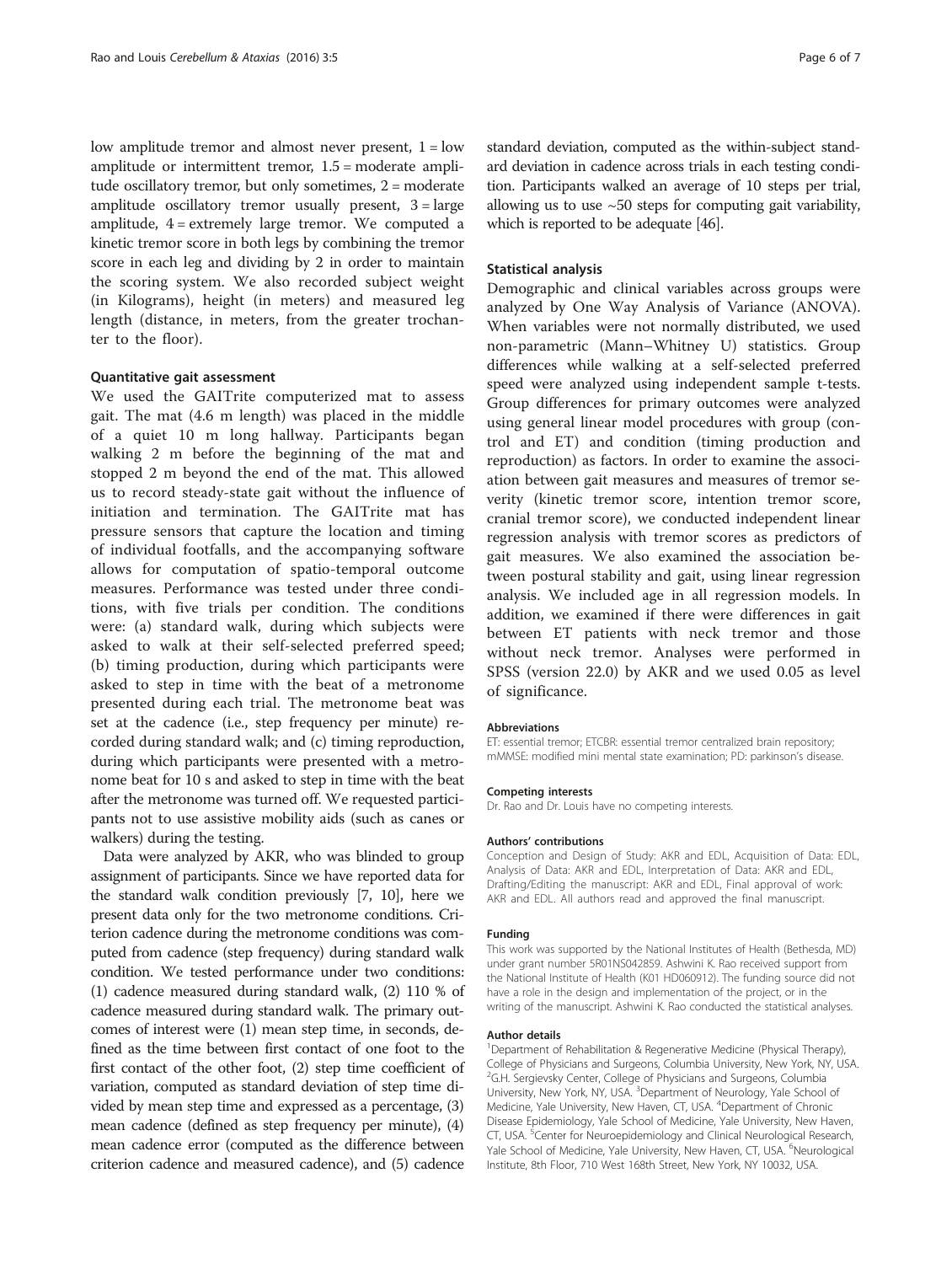low amplitude tremor and almost never present,  $1 =$ low amplitude or intermittent tremor, 1.5 = moderate amplitude oscillatory tremor, but only sometimes, 2 = moderate amplitude oscillatory tremor usually present,  $3 = \text{large}$ amplitude, 4 = extremely large tremor. We computed a kinetic tremor score in both legs by combining the tremor score in each leg and dividing by 2 in order to maintain the scoring system. We also recorded subject weight (in Kilograms), height (in meters) and measured leg length (distance, in meters, from the greater trochanter to the floor).

#### Quantitative gait assessment

We used the GAITrite computerized mat to assess gait. The mat (4.6 m length) was placed in the middle of a quiet 10 m long hallway. Participants began walking 2 m before the beginning of the mat and stopped 2 m beyond the end of the mat. This allowed us to record steady-state gait without the influence of initiation and termination. The GAITrite mat has pressure sensors that capture the location and timing of individual footfalls, and the accompanying software allows for computation of spatio-temporal outcome measures. Performance was tested under three conditions, with five trials per condition. The conditions were: (a) standard walk, during which subjects were asked to walk at their self-selected preferred speed; (b) timing production, during which participants were asked to step in time with the beat of a metronome presented during each trial. The metronome beat was set at the cadence (i.e., step frequency per minute) recorded during standard walk; and (c) timing reproduction, during which participants were presented with a metronome beat for 10 s and asked to step in time with the beat after the metronome was turned off. We requested participants not to use assistive mobility aids (such as canes or walkers) during the testing.

Data were analyzed by AKR, who was blinded to group assignment of participants. Since we have reported data for the standard walk condition previously [\[7, 10](#page-6-0)], here we present data only for the two metronome conditions. Criterion cadence during the metronome conditions was computed from cadence (step frequency) during standard walk condition. We tested performance under two conditions: (1) cadence measured during standard walk, (2) 110 % of cadence measured during standard walk. The primary outcomes of interest were (1) mean step time, in seconds, defined as the time between first contact of one foot to the first contact of the other foot, (2) step time coefficient of variation, computed as standard deviation of step time divided by mean step time and expressed as a percentage, (3) mean cadence (defined as step frequency per minute), (4) mean cadence error (computed as the difference between criterion cadence and measured cadence), and (5) cadence

standard deviation, computed as the within-subject standard deviation in cadence across trials in each testing condition. Participants walked an average of 10 steps per trial, allowing us to use  $~50$  steps for computing gait variability, which is reported to be adequate [\[46\]](#page-6-0).

# Statistical analysis

Demographic and clinical variables across groups were analyzed by One Way Analysis of Variance (ANOVA). When variables were not normally distributed, we used non-parametric (Mann–Whitney U) statistics. Group differences while walking at a self-selected preferred speed were analyzed using independent sample t-tests. Group differences for primary outcomes were analyzed using general linear model procedures with group (control and ET) and condition (timing production and reproduction) as factors. In order to examine the association between gait measures and measures of tremor severity (kinetic tremor score, intention tremor score, cranial tremor score), we conducted independent linear regression analysis with tremor scores as predictors of gait measures. We also examined the association between postural stability and gait, using linear regression analysis. We included age in all regression models. In addition, we examined if there were differences in gait between ET patients with neck tremor and those without neck tremor. Analyses were performed in SPSS (version 22.0) by AKR and we used 0.05 as level of significance.

#### Abbreviations

ET: essential tremor; ETCBR: essential tremor centralized brain repository; mMMSE: modified mini mental state examination; PD: parkinson's disease.

#### Competing interests

Dr. Rao and Dr. Louis have no competing interests.

#### Authors' contributions

Conception and Design of Study: AKR and EDL, Acquisition of Data: EDL, Analysis of Data: AKR and EDL, Interpretation of Data: AKR and EDL, Drafting/Editing the manuscript: AKR and EDL, Final approval of work: AKR and EDL. All authors read and approved the final manuscript.

#### Funding

This work was supported by the National Institutes of Health (Bethesda, MD) under grant number 5R01NS042859. Ashwini K. Rao received support from the National Institute of Health (K01 HD060912). The funding source did not have a role in the design and implementation of the project, or in the writing of the manuscript. Ashwini K. Rao conducted the statistical analyses.

#### Author details

<sup>1</sup>Department of Rehabilitation & Regenerative Medicine (Physical Therapy) College of Physicians and Surgeons, Columbia University, New York, NY, USA. <sup>2</sup>G.H. Sergievsky Center, College of Physicians and Surgeons, Columbia University, New York, NY, USA. <sup>3</sup> Department of Neurology, Yale School of Medicine, Yale University, New Haven, CT, USA. <sup>4</sup>Department of Chronic Disease Epidemiology, Yale School of Medicine, Yale University, New Haven, CT, USA. <sup>5</sup>Center for Neuroepidemiology and Clinical Neurological Research, Yale School of Medicine, Yale University, New Haven, CT, USA. <sup>6</sup>Neurological Institute, 8th Floor, 710 West 168th Street, New York, NY 10032, USA.